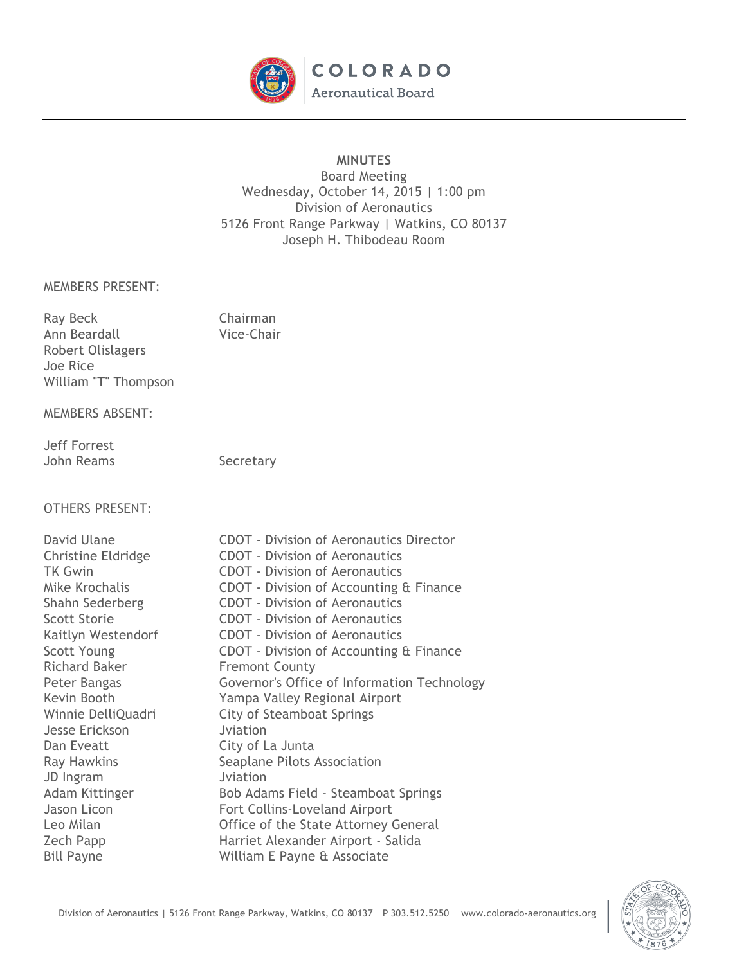

# **MINUTES**

Board Meeting Wednesday, October 14, 2015 | 1:00 pm Division of Aeronautics 5126 Front Range Parkway | Watkins, CO 80137 Joseph H. Thibodeau Room

#### MEMBERS PRESENT:

| Ray Beck             | Chairman   |
|----------------------|------------|
| Ann Beardall         | Vice-Chair |
| Robert Olislagers    |            |
| Joe Rice             |            |
| William "T" Thompson |            |

#### MEMBERS ABSENT:

### Jeff Forrest John Reams Secretary

# OTHERS PRESENT:

| David Ulane               |  |  |
|---------------------------|--|--|
| <b>Christine Eldridge</b> |  |  |
| <b>TK Gwin</b>            |  |  |
| Mike Krochalis            |  |  |
| Shahn Sederberg           |  |  |
| <b>Scott Storie</b>       |  |  |
| Kaitlyn Westendorf        |  |  |
| <b>Scott Young</b>        |  |  |
| Richard Baker             |  |  |
| Peter Bangas              |  |  |
| Kevin Booth               |  |  |
| Winnie DelliQuadri        |  |  |
| <b>Jesse Erickson</b>     |  |  |
| Dan Eveatt                |  |  |
| <b>Ray Hawkins</b>        |  |  |
| JD Ingram                 |  |  |
| Adam Kittinger            |  |  |
| Jason Licon               |  |  |
| Leo Milan                 |  |  |
| <b>Zech Papp</b>          |  |  |
| Bill Payne                |  |  |

CDOT - Division of Aeronautics Director CDOT - Division of Aeronautics CDOT - Division of Aeronautics CDOT - Division of Accounting & Finance CDOT - Division of Aeronautics CDOT - Division of Aeronautics CDOT - Division of Aeronautics CDOT - Division of Accounting & Finance **Fremont County** Governor's Office of Information Technology Yampa Valley Regional Airport City of Steamboat Springs Jviation City of La Junta Seaplane Pilots Association Jviation Bob Adams Field - Steamboat Springs Fort Collins-Loveland Airport Office of the State Attorney General Harriet Alexander Airport - Salida William E Payne & Associate

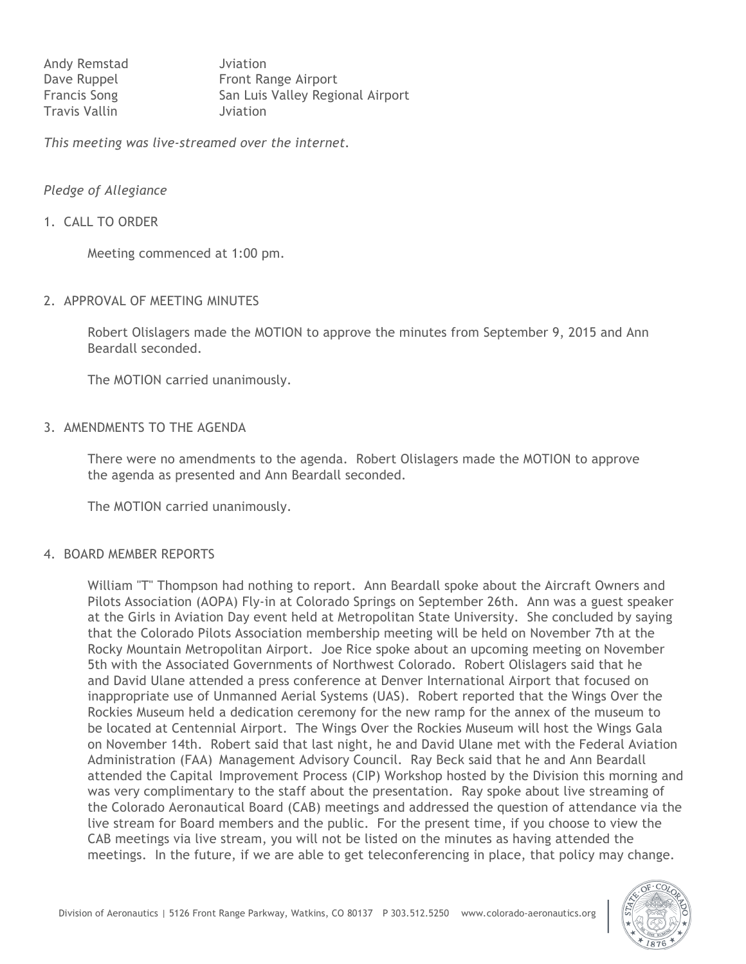| Andy Remstad         | Jviation                         |
|----------------------|----------------------------------|
| Dave Ruppel          | Front Range Airport              |
| <b>Francis Song</b>  | San Luis Valley Regional Airport |
| <b>Travis Vallin</b> | Jviation                         |

*This meeting was live-streamed over the internet.*

#### *Pledge of Allegiance*

#### 1. CALL TO ORDER

Meeting commenced at 1:00 pm.

#### 2. APPROVAL OF MEETING MINUTES

Robert Olislagers made the MOTION to approve the minutes from September 9, 2015 and Ann Beardall seconded.

The MOTION carried unanimously.

### 3. AMENDMENTS TO THE AGENDA

There were no amendments to the agenda. Robert Olislagers made the MOTION to approve the agenda as presented and Ann Beardall seconded.

The MOTION carried unanimously.

#### 4. BOARD MEMBER REPORTS

William "T" Thompson had nothing to report. Ann Beardall spoke about the Aircraft Owners and Pilots Association (AOPA) Fly-in at Colorado Springs on September 26th. Ann was a guest speaker at the Girls in Aviation Day event held at Metropolitan State University. She concluded by saying that the Colorado Pilots Association membership meeting will be held on November 7th at the Rocky Mountain Metropolitan Airport. Joe Rice spoke about an upcoming meeting on November 5th with the Associated Governments of Northwest Colorado. Robert Olislagers said that he and David Ulane attended a press conference at Denver International Airport that focused on inappropriate use of Unmanned Aerial Systems (UAS). Robert reported that the Wings Over the Rockies Museum held a dedication ceremony for the new ramp for the annex of the museum to be located at Centennial Airport. The Wings Over the Rockies Museum will host the Wings Gala on November 14th. Robert said that last night, he and David Ulane met with the Federal Aviation Administration (FAA) Management Advisory Council. Ray Beck said that he and Ann Beardall attended the Capital Improvement Process (CIP) Workshop hosted by the Division this morning and was very complimentary to the staff about the presentation. Ray spoke about live streaming of the Colorado Aeronautical Board (CAB) meetings and addressed the question of attendance via the live stream for Board members and the public. For the present time, if you choose to view the CAB meetings via live stream, you will not be listed on the minutes as having attended the meetings. In the future, if we are able to get teleconferencing in place, that policy may change.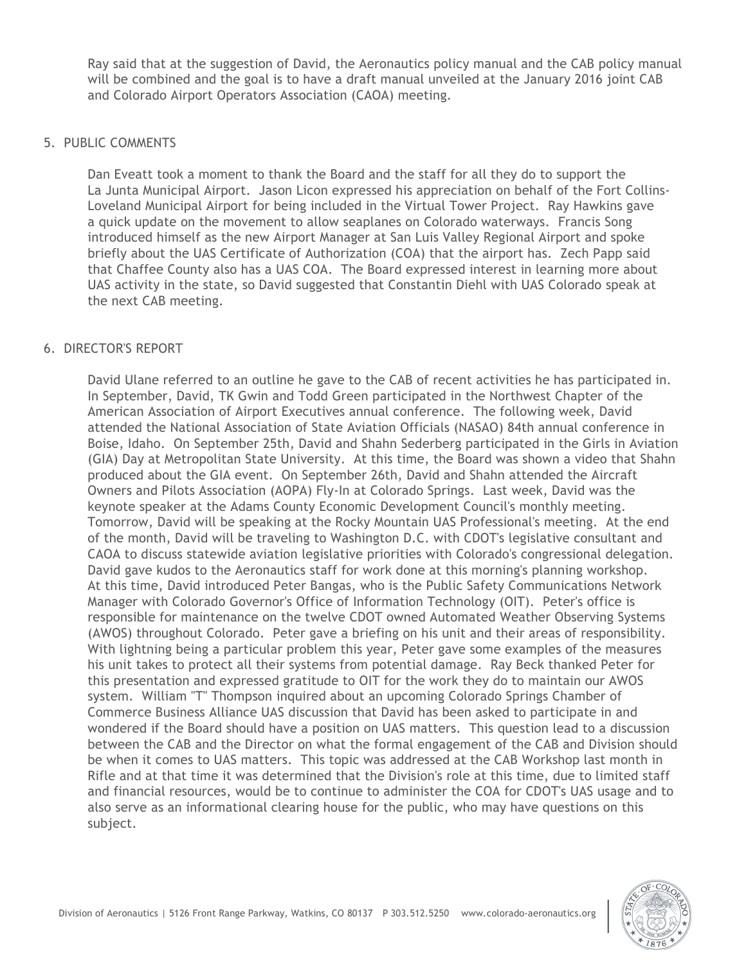Ray said that at the suggestion of David, the Aeronautics policy manual and the CAB policy manual will be combined and the goal is to have a draft manual unveiled at the January 2016 joint CAB and Colorado Airport Operators Association (CAOA) meeting.

### 5. PUBLIC COMMENTS

Dan Eveatt took a moment to thank the Board and the staff for all they do to support the La Junta Municipal Airport. Jason Licon expressed his appreciation on behalf of the Fort Collins-Loveland Municipal Airport for being included in the Virtual Tower Project. Ray Hawkins gave a quick update on the movement to allow seaplanes on Colorado waterways. Francis Song introduced himself as the new Airport Manager at San Luis Valley Regional Airport and spoke briefly about the UAS Certificate of Authorization (COA) that the airport has. Zech Papp said that Chaffee County also has a UAS COA. The Board expressed interest in learning more about UAS activity in the state, so David suggested that Constantin Diehl with UAS Colorado speak at the next CAB meeting.

# 6. DIRECTOR'S REPORT

David Ulane referred to an outline he gave to the CAB of recent activities he has participated in. In September, David, TK Gwin and Todd Green participated in the Northwest Chapter of the American Association of Airport Executives annual conference. The following week, David attended the National Association of State Aviation Officials (NASAO) 84th annual conference in Boise, Idaho. On September 25th, David and Shahn Sederberg participated in the Girls in Aviation (GIA) Day at Metropolitan State University. At this time, the Board was shown a video that Shahn produced about the GIA event. On September 26th, David and Shahn attended the Aircraft Owners and Pilots Association (AOPA) Fly-In at Colorado Springs. Last week, David was the keynote speaker at the Adams County Economic Development Council's monthly meeting. Tomorrow, David will be speaking at the Rocky Mountain UAS Professional's meeting. At the end of the month, David will be traveling to Washington D.C. with CDOT's legislative consultant and CAOA to discuss statewide aviation legislative priorities with Colorado's congressional delegation. David gave kudos to the Aeronautics staff for work done at this morning's planning workshop. At this time, David introduced Peter Bangas, who is the Public Safety Communications Network Manager with Colorado Governor's Office of Information Technology (OIT). Peter's office is responsible for maintenance on the twelve CDOT owned Automated Weather Observing Systems (AWOS) throughout Colorado. Peter gave a briefing on his unit and their areas of responsibility. With lightning being a particular problem this year, Peter gave some examples of the measures his unit takes to protect all their systems from potential damage. Ray Beck thanked Peter for this presentation and expressed gratitude to OIT for the work they do to maintain our AWOS system. William "T" Thompson inquired about an upcoming Colorado Springs Chamber of Commerce Business Alliance UAS discussion that David has been asked to participate in and wondered if the Board should have a position on UAS matters. This question lead to a discussion between the CAB and the Director on what the formal engagement of the CAB and Division should be when it comes to UAS matters. This topic was addressed at the CAB Workshop last month in Rifle and at that time it was determined that the Division's role at this time, due to limited staff and financial resources, would be to continue to administer the COA for CDOT's UAS usage and to also serve as an informational clearing house for the public, who may have questions on this subject.

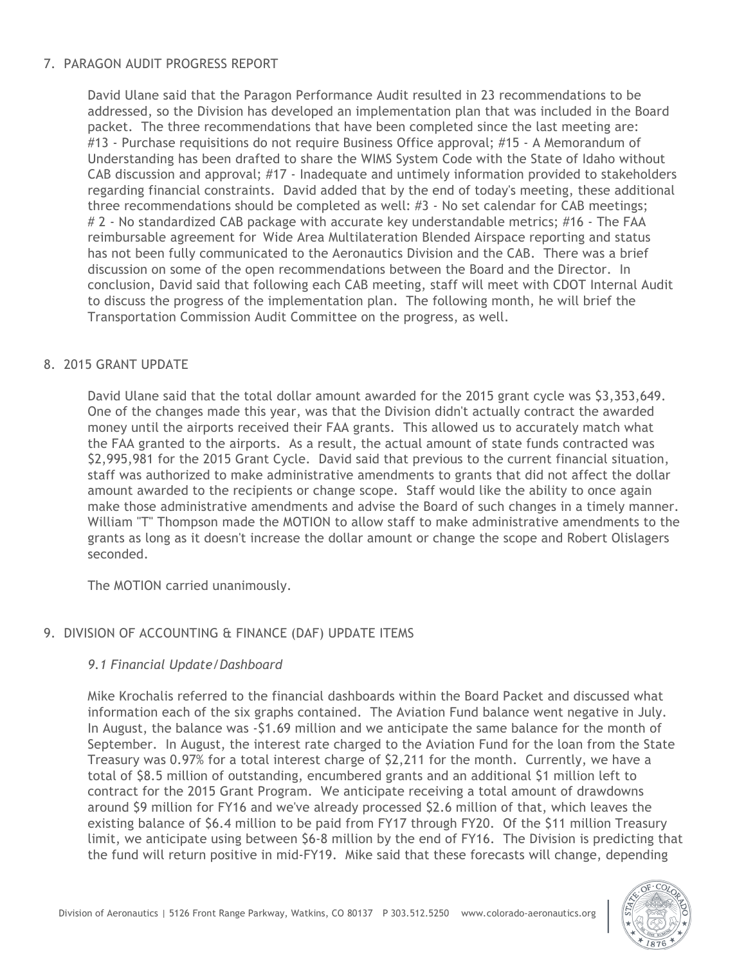# 7. PARAGON AUDIT PROGRESS REPORT

David Ulane said that the Paragon Performance Audit resulted in 23 recommendations to be addressed, so the Division has developed an implementation plan that was included in the Board packet. The three recommendations that have been completed since the last meeting are: #13 - Purchase requisitions do not require Business Office approval; #15 - A Memorandum of Understanding has been drafted to share the WIMS System Code with the State of Idaho without CAB discussion and approval; #17 - Inadequate and untimely information provided to stakeholders regarding financial constraints. David added that by the end of today's meeting, these additional three recommendations should be completed as well: #3 - No set calendar for CAB meetings; # 2 - No standardized CAB package with accurate key understandable metrics; #16 - The FAA reimbursable agreement for Wide Area Multilateration Blended Airspace reporting and status has not been fully communicated to the Aeronautics Division and the CAB. There was a brief discussion on some of the open recommendations between the Board and the Director. In conclusion, David said that following each CAB meeting, staff will meet with CDOT Internal Audit to discuss the progress of the implementation plan. The following month, he will brief the Transportation Commission Audit Committee on the progress, as well.

# 8. 2015 GRANT UPDATE

David Ulane said that the total dollar amount awarded for the 2015 grant cycle was \$3,353,649. One of the changes made this year, was that the Division didn't actually contract the awarded money until the airports received their FAA grants. This allowed us to accurately match what the FAA granted to the airports. As a result, the actual amount of state funds contracted was \$2,995,981 for the 2015 Grant Cycle. David said that previous to the current financial situation, staff was authorized to make administrative amendments to grants that did not affect the dollar amount awarded to the recipients or change scope. Staff would like the ability to once again make those administrative amendments and advise the Board of such changes in a timely manner. William "T" Thompson made the MOTION to allow staff to make administrative amendments to the grants as long as it doesn't increase the dollar amount or change the scope and Robert Olislagers seconded.

The MOTION carried unanimously.

# 9. DIVISION OF ACCOUNTING & FINANCE (DAF) UPDATE ITEMS

# *9.1 Financial Update/Dashboard*

Mike Krochalis referred to the financial dashboards within the Board Packet and discussed what information each of the six graphs contained. The Aviation Fund balance went negative in July. In August, the balance was -\$1.69 million and we anticipate the same balance for the month of September. In August, the interest rate charged to the Aviation Fund for the loan from the State Treasury was 0.97% for a total interest charge of \$2,211 for the month. Currently, we have a total of \$8.5 million of outstanding, encumbered grants and an additional \$1 million left to contract for the 2015 Grant Program. We anticipate receiving a total amount of drawdowns around \$9 million for FY16 and we've already processed \$2.6 million of that, which leaves the existing balance of \$6.4 million to be paid from FY17 through FY20. Of the \$11 million Treasury limit, we anticipate using between \$6-8 million by the end of FY16. The Division is predicting that the fund will return positive in mid-FY19. Mike said that these forecasts will change, depending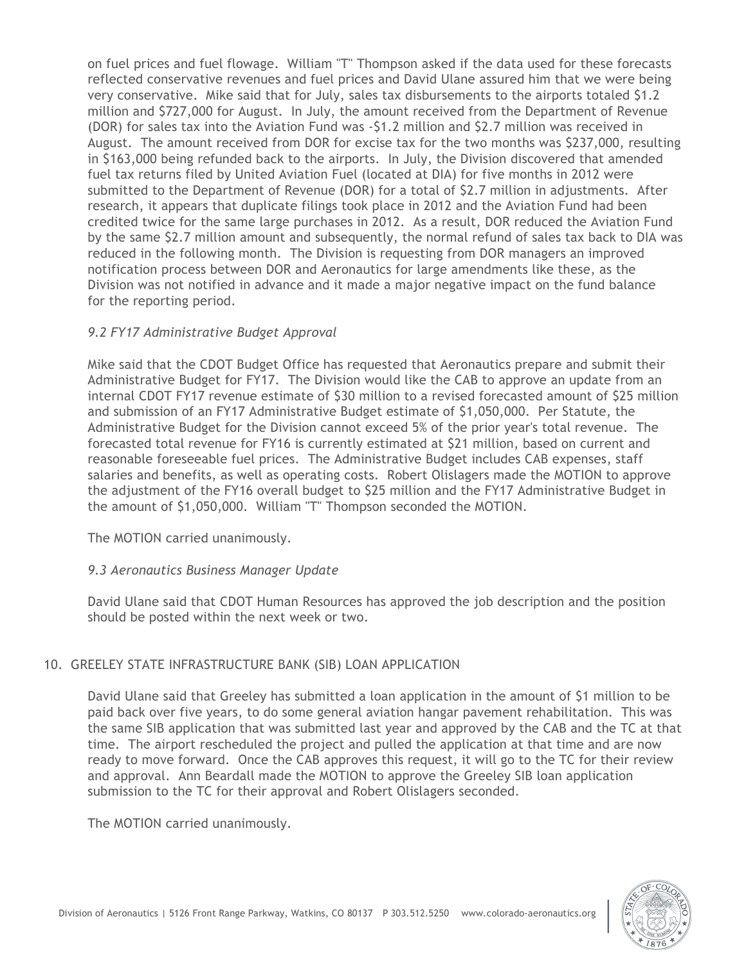on fuel prices and fuel flowage. William "T" Thompson asked if the data used for these forecasts reflected conservative revenues and fuel prices and David Ulane assured him that we were being very conservative. Mike said that for July, sales tax disbursements to the airports totaled \$1.2 million and \$727,000 for August. In July, the amount received from the Department of Revenue (DOR) for sales tax into the Aviation Fund was -\$1.2 million and \$2.7 million was received in August. The amount received from DOR for excise tax for the two months was \$237,000, resulting in \$163,000 being refunded back to the airports. In July, the Division discovered that amended fuel tax returns filed by United Aviation Fuel (located at DIA) for five months in 2012 were submitted to the Department of Revenue (DOR) for a total of \$2.7 million in adjustments. After research, it appears that duplicate filings took place in 2012 and the Aviation Fund had been credited twice for the same large purchases in 2012. As a result, DOR reduced the Aviation Fund by the same \$2.7 million amount and subsequently, the normal refund of sales tax back to DIA was reduced in the following month. The Division is requesting from DOR managers an improved notification process between DOR and Aeronautics for large amendments like these, as the Division was not notified in advance and it made a major negative impact on the fund balance for the reporting period.

# *9.2 FY17 Administrative Budget Approval*

Mike said that the CDOT Budget Office has requested that Aeronautics prepare and submit their Administrative Budget for FY17. The Division would like the CAB to approve an update from an internal CDOT FY17 revenue estimate of \$30 million to a revised forecasted amount of \$25 million and submission of an FY17 Administrative Budget estimate of \$1,050,000. Per Statute, the Administrative Budget for the Division cannot exceed 5% of the prior year's total revenue. The forecasted total revenue for FY16 is currently estimated at \$21 million, based on current and reasonable foreseeable fuel prices. The Administrative Budget includes CAB expenses, staff salaries and benefits, as well as operating costs. Robert Olislagers made the MOTION to approve the adjustment of the FY16 overall budget to \$25 million and the FY17 Administrative Budget in the amount of \$1,050,000. William "T" Thompson seconded the MOTION.

The MOTION carried unanimously.

# *9.3 Aeronautics Business Manager Update*

David Ulane said that CDOT Human Resources has approved the job description and the position should be posted within the next week or two.

# 10. GREELEY STATE INFRASTRUCTURE BANK (SIB) LOAN APPLICATION

David Ulane said that Greeley has submitted a loan application in the amount of \$1 million to be paid back over five years, to do some general aviation hangar pavement rehabilitation. This was the same SIB application that was submitted last year and approved by the CAB and the TC at that time. The airport rescheduled the project and pulled the application at that time and are now ready to move forward. Once the CAB approves this request, it will go to the TC for their review and approval. Ann Beardall made the MOTION to approve the Greeley SIB loan application submission to the TC for their approval and Robert Olislagers seconded.

The MOTION carried unanimously.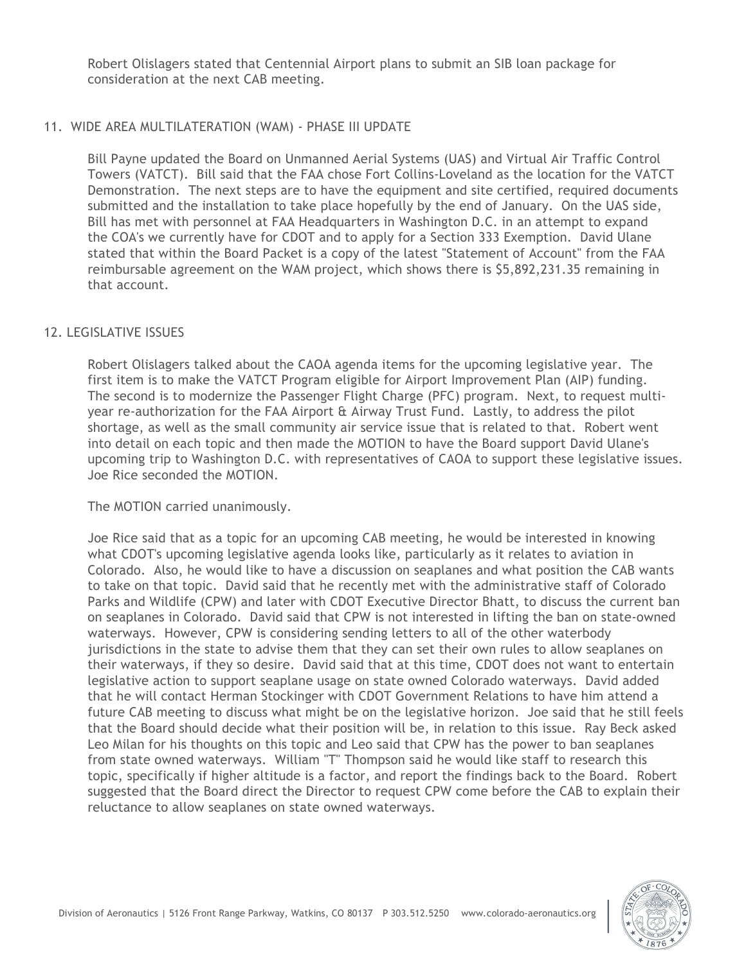Robert Olislagers stated that Centennial Airport plans to submit an SIB loan package for consideration at the next CAB meeting.

# 11. WIDE AREA MULTILATERATION (WAM) - PHASE III UPDATE

Bill Payne updated the Board on Unmanned Aerial Systems (UAS) and Virtual Air Traffic Control Towers (VATCT). Bill said that the FAA chose Fort Collins-Loveland as the location for the VATCT Demonstration. The next steps are to have the equipment and site certified, required documents submitted and the installation to take place hopefully by the end of January. On the UAS side, Bill has met with personnel at FAA Headquarters in Washington D.C. in an attempt to expand the COA's we currently have for CDOT and to apply for a Section 333 Exemption. David Ulane stated that within the Board Packet is a copy of the latest "Statement of Account" from the FAA reimbursable agreement on the WAM project, which shows there is \$5,892,231.35 remaining in that account.

# 12. LEGISLATIVE ISSUES

Robert Olislagers talked about the CAOA agenda items for the upcoming legislative year. The first item is to make the VATCT Program eligible for Airport Improvement Plan (AIP) funding. The second is to modernize the Passenger Flight Charge (PFC) program. Next, to request multiyear re-authorization for the FAA Airport & Airway Trust Fund. Lastly, to address the pilot shortage, as well as the small community air service issue that is related to that. Robert went into detail on each topic and then made the MOTION to have the Board support David Ulane's upcoming trip to Washington D.C. with representatives of CAOA to support these legislative issues. Joe Rice seconded the MOTION.

# The MOTION carried unanimously.

Joe Rice said that as a topic for an upcoming CAB meeting, he would be interested in knowing what CDOT's upcoming legislative agenda looks like, particularly as it relates to aviation in Colorado. Also, he would like to have a discussion on seaplanes and what position the CAB wants to take on that topic. David said that he recently met with the administrative staff of Colorado Parks and Wildlife (CPW) and later with CDOT Executive Director Bhatt, to discuss the current ban on seaplanes in Colorado. David said that CPW is not interested in lifting the ban on state-owned waterways. However, CPW is considering sending letters to all of the other waterbody jurisdictions in the state to advise them that they can set their own rules to allow seaplanes on their waterways, if they so desire. David said that at this time, CDOT does not want to entertain legislative action to support seaplane usage on state owned Colorado waterways. David added that he will contact Herman Stockinger with CDOT Government Relations to have him attend a future CAB meeting to discuss what might be on the legislative horizon. Joe said that he still feels that the Board should decide what their position will be, in relation to this issue. Ray Beck asked Leo Milan for his thoughts on this topic and Leo said that CPW has the power to ban seaplanes from state owned waterways. William "T" Thompson said he would like staff to research this topic, specifically if higher altitude is a factor, and report the findings back to the Board. Robert suggested that the Board direct the Director to request CPW come before the CAB to explain their reluctance to allow seaplanes on state owned waterways.